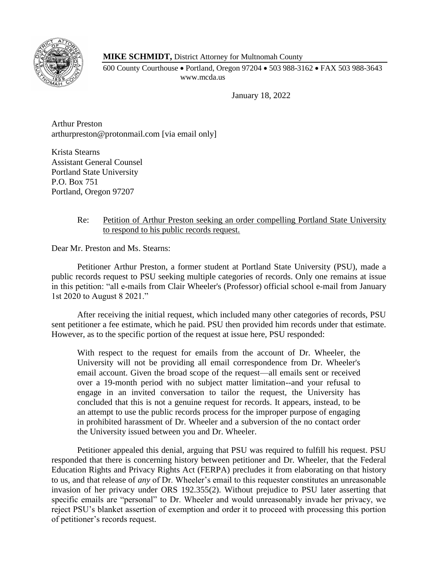

**MIKE SCHMIDT,** District Attorney for Multnomah County

600 County Courthouse • Portland, Oregon 97204 • 503 988-3162 • FAX 503 988-3643 www.mcda.us

January 18, 2022

Arthur Preston arthurpreston@protonmail.com [via email only]

Krista Stearns Assistant General Counsel Portland State University P.O. Box 751 Portland, Oregon 97207

# Re: Petition of Arthur Preston seeking an order compelling Portland State University to respond to his public records request.

Dear Mr. Preston and Ms. Stearns:

Petitioner Arthur Preston, a former student at Portland State University (PSU), made a public records request to PSU seeking multiple categories of records. Only one remains at issue in this petition: "all e-mails from Clair Wheeler's (Professor) official school e-mail from January 1st 2020 to August 8 2021."

After receiving the initial request, which included many other categories of records, PSU sent petitioner a fee estimate, which he paid. PSU then provided him records under that estimate. However, as to the specific portion of the request at issue here, PSU responded:

With respect to the request for emails from the account of Dr. Wheeler, the University will not be providing all email correspondence from Dr. Wheeler's email account. Given the broad scope of the request—all emails sent or received over a 19-month period with no subject matter limitation--and your refusal to engage in an invited conversation to tailor the request, the University has concluded that this is not a genuine request for records. It appears, instead, to be an attempt to use the public records process for the improper purpose of engaging in prohibited harassment of Dr. Wheeler and a subversion of the no contact order the University issued between you and Dr. Wheeler.

Petitioner appealed this denial, arguing that PSU was required to fulfill his request. PSU responded that there is concerning history between petitioner and Dr. Wheeler, that the Federal Education Rights and Privacy Rights Act (FERPA) precludes it from elaborating on that history to us, and that release of *any* of Dr. Wheeler's email to this requester constitutes an unreasonable invasion of her privacy under ORS 192.355(2). Without prejudice to PSU later asserting that specific emails are "personal" to Dr. Wheeler and would unreasonably invade her privacy, we reject PSU's blanket assertion of exemption and order it to proceed with processing this portion of petitioner's records request.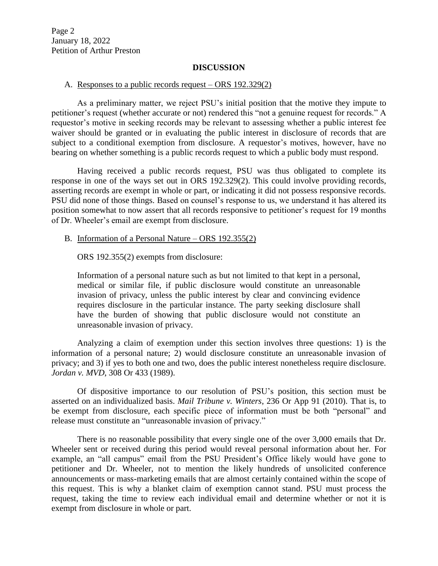Page 2 January 18, 2022 Petition of Arthur Preston

#### **DISCUSSION**

#### A. Responses to a public records request – ORS 192.329(2)

As a preliminary matter, we reject PSU's initial position that the motive they impute to petitioner's request (whether accurate or not) rendered this "not a genuine request for records." A requestor's motive in seeking records may be relevant to assessing whether a public interest fee waiver should be granted or in evaluating the public interest in disclosure of records that are subject to a conditional exemption from disclosure. A requestor's motives, however, have no bearing on whether something is a public records request to which a public body must respond.

Having received a public records request, PSU was thus obligated to complete its response in one of the ways set out in ORS 192.329(2). This could involve providing records, asserting records are exempt in whole or part, or indicating it did not possess responsive records. PSU did none of those things. Based on counsel's response to us, we understand it has altered its position somewhat to now assert that all records responsive to petitioner's request for 19 months of Dr. Wheeler's email are exempt from disclosure.

### B. Information of a Personal Nature – ORS 192.355(2)

ORS 192.355(2) exempts from disclosure:

Information of a personal nature such as but not limited to that kept in a personal, medical or similar file, if public disclosure would constitute an unreasonable invasion of privacy, unless the public interest by clear and convincing evidence requires disclosure in the particular instance. The party seeking disclosure shall have the burden of showing that public disclosure would not constitute an unreasonable invasion of privacy.

Analyzing a claim of exemption under this section involves three questions: 1) is the information of a personal nature; 2) would disclosure constitute an unreasonable invasion of privacy; and 3) if yes to both one and two, does the public interest nonetheless require disclosure. *Jordan v. MVD*, 308 Or 433 (1989).

Of dispositive importance to our resolution of PSU's position, this section must be asserted on an individualized basis. *Mail Tribune v. Winters*, 236 Or App 91 (2010). That is, to be exempt from disclosure, each specific piece of information must be both "personal" and release must constitute an "unreasonable invasion of privacy."

There is no reasonable possibility that every single one of the over 3,000 emails that Dr. Wheeler sent or received during this period would reveal personal information about her. For example, an "all campus" email from the PSU President's Office likely would have gone to petitioner and Dr. Wheeler, not to mention the likely hundreds of unsolicited conference announcements or mass-marketing emails that are almost certainly contained within the scope of this request. This is why a blanket claim of exemption cannot stand. PSU must process the request, taking the time to review each individual email and determine whether or not it is exempt from disclosure in whole or part.